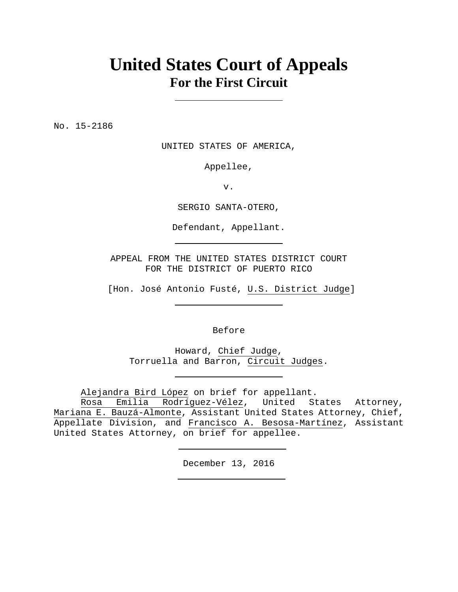## **United States Court of Appeals For the First Circuit**

No. 15-2186

UNITED STATES OF AMERICA,

Appellee,

v.

SERGIO SANTA-OTERO,

Defendant, Appellant.

APPEAL FROM THE UNITED STATES DISTRICT COURT FOR THE DISTRICT OF PUERTO RICO

[Hon. José Antonio Fusté, U.S. District Judge]

Before

Howard, Chief Judge, Torruella and Barron, Circuit Judges.

Alejandra Bird López on brief for appellant.

Rosa Emilia Rodríguez-Vélez, United States Attorney, Mariana E. Bauzá-Almonte, Assistant United States Attorney, Chief, Appellate Division, and Francisco A. Besosa-Martínez, Assistant United States Attorney, on brief for appellee.

December 13, 2016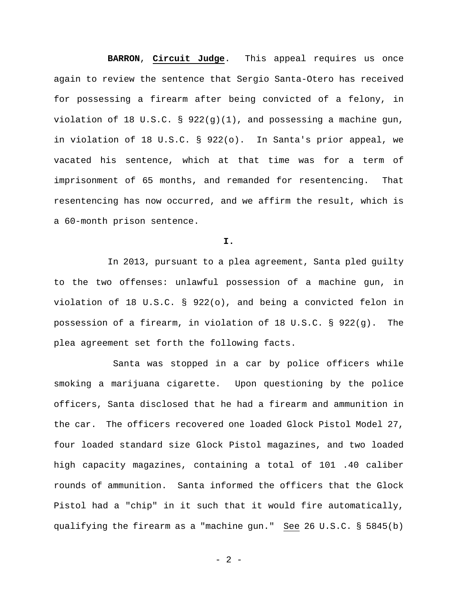**BARRON**, **Circuit Judge**. This appeal requires us once again to review the sentence that Sergio Santa-Otero has received for possessing a firearm after being convicted of a felony, in violation of 18 U.S.C. § 922(g)(1), and possessing a machine gun, in violation of 18 U.S.C. § 922(o). In Santa's prior appeal, we vacated his sentence, which at that time was for a term of imprisonment of 65 months, and remanded for resentencing. That resentencing has now occurred, and we affirm the result, which is a 60-month prison sentence.

**I.**

In 2013, pursuant to a plea agreement, Santa pled guilty to the two offenses: unlawful possession of a machine gun, in violation of 18 U.S.C. § 922(o), and being a convicted felon in possession of a firearm, in violation of 18 U.S.C. § 922(g). The plea agreement set forth the following facts.

 Santa was stopped in a car by police officers while smoking a marijuana cigarette. Upon questioning by the police officers, Santa disclosed that he had a firearm and ammunition in the car. The officers recovered one loaded Glock Pistol Model 27, four loaded standard size Glock Pistol magazines, and two loaded high capacity magazines, containing a total of 101 .40 caliber rounds of ammunition. Santa informed the officers that the Glock Pistol had a "chip" in it such that it would fire automatically, qualifying the firearm as a "machine gun." See 26 U.S.C. § 5845(b)

- 2 -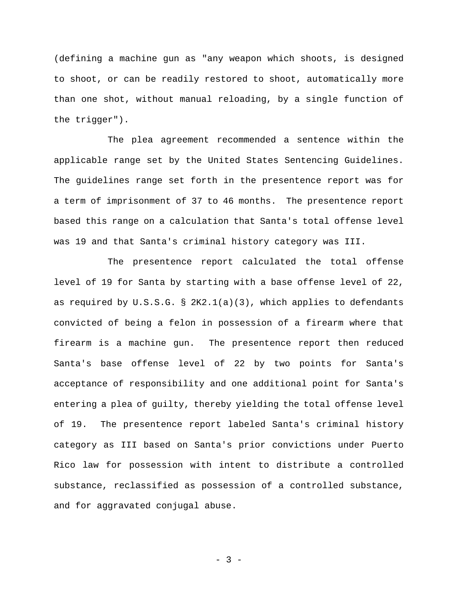(defining a machine gun as "any weapon which shoots, is designed to shoot, or can be readily restored to shoot, automatically more than one shot, without manual reloading, by a single function of the trigger").

The plea agreement recommended a sentence within the applicable range set by the United States Sentencing Guidelines. The guidelines range set forth in the presentence report was for a term of imprisonment of 37 to 46 months. The presentence report based this range on a calculation that Santa's total offense level was 19 and that Santa's criminal history category was III.

The presentence report calculated the total offense level of 19 for Santa by starting with a base offense level of 22, as required by U.S.S.G. § 2K2.1(a)(3), which applies to defendants convicted of being a felon in possession of a firearm where that firearm is a machine gun. The presentence report then reduced Santa's base offense level of 22 by two points for Santa's acceptance of responsibility and one additional point for Santa's entering a plea of guilty, thereby yielding the total offense level of 19. The presentence report labeled Santa's criminal history category as III based on Santa's prior convictions under Puerto Rico law for possession with intent to distribute a controlled substance, reclassified as possession of a controlled substance, and for aggravated conjugal abuse.

- 3 -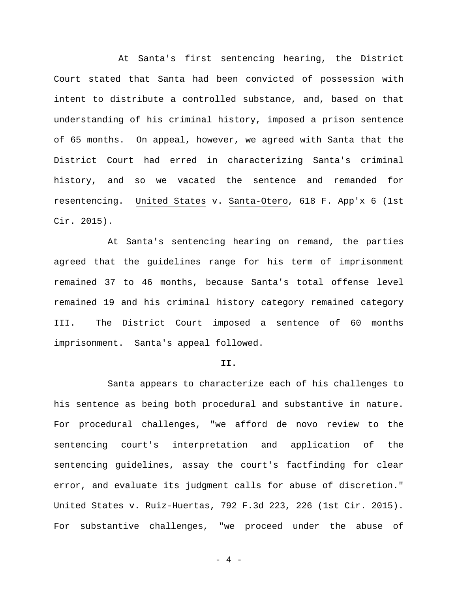At Santa's first sentencing hearing, the District Court stated that Santa had been convicted of possession with intent to distribute a controlled substance, and, based on that understanding of his criminal history, imposed a prison sentence of 65 months. On appeal, however, we agreed with Santa that the District Court had erred in characterizing Santa's criminal history, and so we vacated the sentence and remanded for resentencing. United States v. Santa-Otero, 618 F. App'x 6 (1st Cir. 2015).

At Santa's sentencing hearing on remand, the parties agreed that the guidelines range for his term of imprisonment remained 37 to 46 months, because Santa's total offense level remained 19 and his criminal history category remained category III. The District Court imposed a sentence of 60 months imprisonment. Santa's appeal followed.

## **II.**

Santa appears to characterize each of his challenges to his sentence as being both procedural and substantive in nature. For procedural challenges, "we afford de novo review to the sentencing court's interpretation and application of the sentencing guidelines, assay the court's factfinding for clear error, and evaluate its judgment calls for abuse of discretion." United States v. Ruiz-Huertas, 792 F.3d 223, 226 (1st Cir. 2015). For substantive challenges, "we proceed under the abuse of

 $-4 -$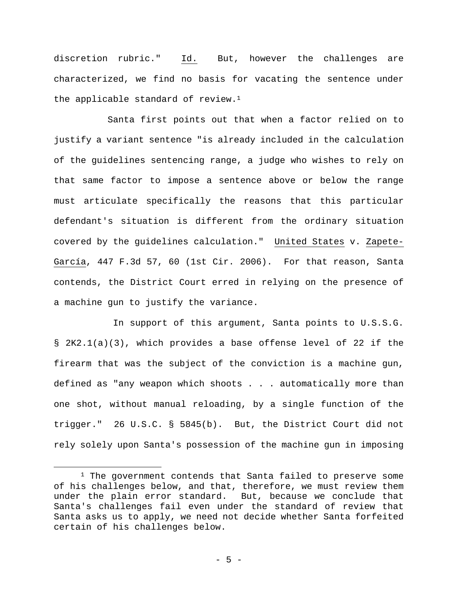discretion rubric." Id. But, however the challenges are characterized, we find no basis for vacating the sentence under the applicable standard of review.<sup>1</sup>

Santa first points out that when a factor relied on to justify a variant sentence "is already included in the calculation of the guidelines sentencing range, a judge who wishes to rely on that same factor to impose a sentence above or below the range must articulate specifically the reasons that this particular defendant's situation is different from the ordinary situation covered by the guidelines calculation." United States v. Zapete-García, 447 F.3d 57, 60 (1st Cir. 2006). For that reason, Santa contends, the District Court erred in relying on the presence of a machine gun to justify the variance.

 In support of this argument, Santa points to U.S.S.G. § 2K2.1(a)(3), which provides a base offense level of 22 if the firearm that was the subject of the conviction is a machine gun, defined as "any weapon which shoots . . . automatically more than one shot, without manual reloading, by a single function of the trigger." 26 U.S.C. § 5845(b). But, the District Court did not rely solely upon Santa's possession of the machine gun in imposing

 $\overline{a}$ 

 $1$  The government contends that Santa failed to preserve some of his challenges below, and that, therefore, we must review them under the plain error standard. But, because we conclude that Santa's challenges fail even under the standard of review that Santa asks us to apply, we need not decide whether Santa forfeited certain of his challenges below.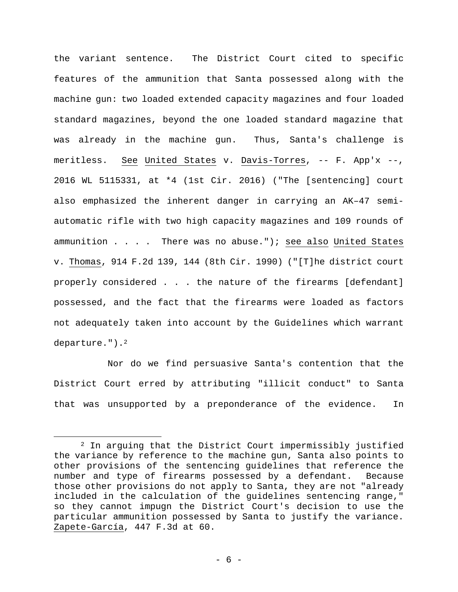the variant sentence. The District Court cited to specific features of the ammunition that Santa possessed along with the machine gun: two loaded extended capacity magazines and four loaded standard magazines, beyond the one loaded standard magazine that was already in the machine gun. Thus, Santa's challenge is meritless. See United States v. Davis-Torres, -- F. App'x --, 2016 WL 5115331, at \*4 (1st Cir. 2016) ("The [sentencing] court also emphasized the inherent danger in carrying an AK–47 semiautomatic rifle with two high capacity magazines and 109 rounds of ammunition . . . . There was no abuse."); see also United States v. Thomas, 914 F.2d 139, 144 (8th Cir. 1990) ("[T]he district court properly considered . . . the nature of the firearms [defendant] possessed, and the fact that the firearms were loaded as factors not adequately taken into account by the Guidelines which warrant departure.").2

Nor do we find persuasive Santa's contention that the District Court erred by attributing "illicit conduct" to Santa that was unsupported by a preponderance of the evidence. In

 $\overline{a}$ 

<sup>2</sup> In arguing that the District Court impermissibly justified the variance by reference to the machine gun, Santa also points to other provisions of the sentencing guidelines that reference the number and type of firearms possessed by a defendant. Because those other provisions do not apply to Santa, they are not "already included in the calculation of the guidelines sentencing range," so they cannot impugn the District Court's decision to use the particular ammunition possessed by Santa to justify the variance. Zapete-García, 447 F.3d at 60.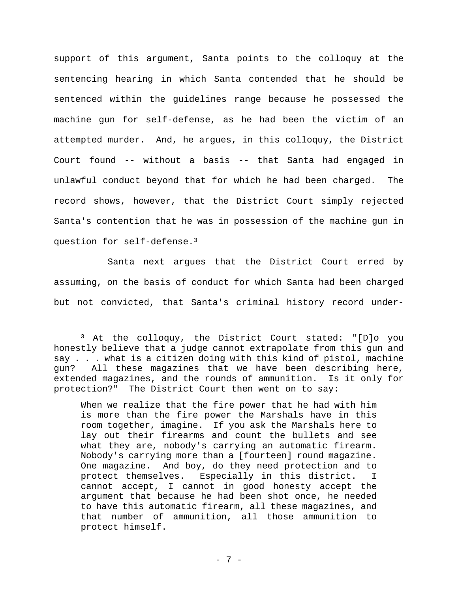support of this argument, Santa points to the colloquy at the sentencing hearing in which Santa contended that he should be sentenced within the guidelines range because he possessed the machine gun for self-defense, as he had been the victim of an attempted murder. And, he argues, in this colloquy, the District Court found -- without a basis -- that Santa had engaged in unlawful conduct beyond that for which he had been charged. The record shows, however, that the District Court simply rejected Santa's contention that he was in possession of the machine gun in question for self-defense.3

Santa next argues that the District Court erred by assuming, on the basis of conduct for which Santa had been charged but not convicted, that Santa's criminal history record under-

 $\overline{a}$ 

<sup>3</sup> At the colloquy, the District Court stated: "[D]o you honestly believe that a judge cannot extrapolate from this gun and say . . . what is a citizen doing with this kind of pistol, machine gun? All these magazines that we have been describing here, extended magazines, and the rounds of ammunition. Is it only for protection?" The District Court then went on to say:

When we realize that the fire power that he had with him is more than the fire power the Marshals have in this room together, imagine. If you ask the Marshals here to lay out their firearms and count the bullets and see what they are, nobody's carrying an automatic firearm. Nobody's carrying more than a [fourteen] round magazine. One magazine. And boy, do they need protection and to protect themselves. Especially in this district. I cannot accept, I cannot in good honesty accept the argument that because he had been shot once, he needed to have this automatic firearm, all these magazines, and that number of ammunition, all those ammunition to protect himself.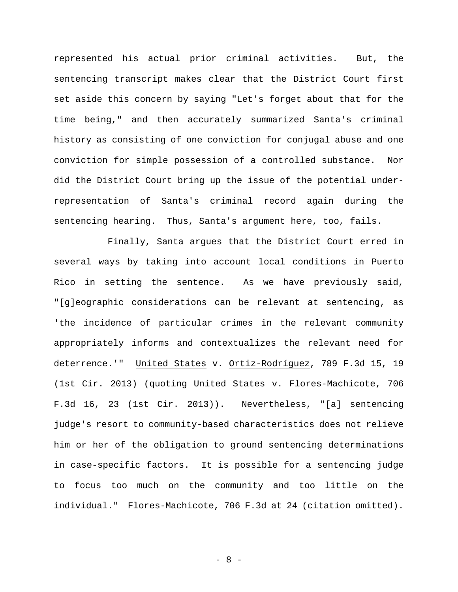represented his actual prior criminal activities. But, the sentencing transcript makes clear that the District Court first set aside this concern by saying "Let's forget about that for the time being," and then accurately summarized Santa's criminal history as consisting of one conviction for conjugal abuse and one conviction for simple possession of a controlled substance. Nor did the District Court bring up the issue of the potential underrepresentation of Santa's criminal record again during the sentencing hearing. Thus, Santa's argument here, too, fails.

Finally, Santa argues that the District Court erred in several ways by taking into account local conditions in Puerto Rico in setting the sentence. As we have previously said, "[g]eographic considerations can be relevant at sentencing, as 'the incidence of particular crimes in the relevant community appropriately informs and contextualizes the relevant need for deterrence.'" United States v. Ortiz-Rodríguez, 789 F.3d 15, 19 (1st Cir. 2013) (quoting United States v. Flores-Machicote, 706 F.3d 16, 23 (1st Cir. 2013)). Nevertheless, "[a] sentencing judge's resort to community-based characteristics does not relieve him or her of the obligation to ground sentencing determinations in case-specific factors. It is possible for a sentencing judge to focus too much on the community and too little on the individual." Flores-Machicote, 706 F.3d at 24 (citation omitted).

- 8 -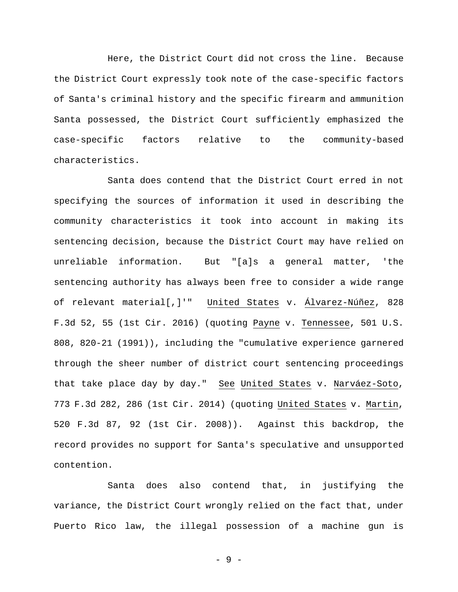Here, the District Court did not cross the line. Because the District Court expressly took note of the case-specific factors of Santa's criminal history and the specific firearm and ammunition Santa possessed, the District Court sufficiently emphasized the case-specific factors relative to the community-based characteristics.

Santa does contend that the District Court erred in not specifying the sources of information it used in describing the community characteristics it took into account in making its sentencing decision, because the District Court may have relied on unreliable information. But "[a]s a general matter, 'the sentencing authority has always been free to consider a wide range of relevant material[,]'" United States v. Álvarez-Núñez, 828 F.3d 52, 55 (1st Cir. 2016) (quoting Payne v. Tennessee, 501 U.S. 808, 820-21 (1991)), including the "cumulative experience garnered through the sheer number of district court sentencing proceedings that take place day by day." See United States v. Narváez-Soto, 773 F.3d 282, 286 (1st Cir. 2014) (quoting United States v. Martin, 520 F.3d 87, 92 (1st Cir. 2008)). Against this backdrop, the record provides no support for Santa's speculative and unsupported contention.

Santa does also contend that, in justifying the variance, the District Court wrongly relied on the fact that, under Puerto Rico law, the illegal possession of a machine gun is

- 9 -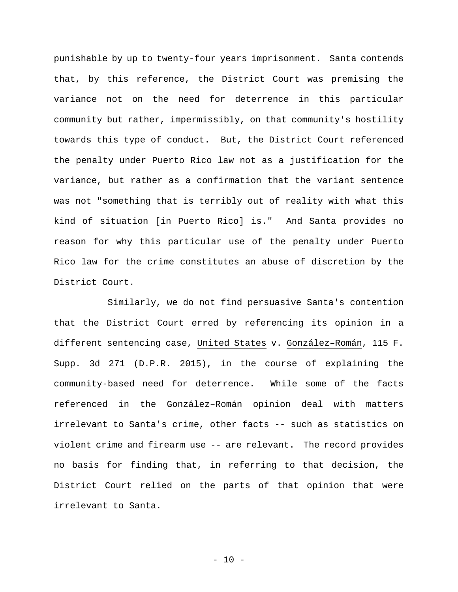punishable by up to twenty-four years imprisonment. Santa contends that, by this reference, the District Court was premising the variance not on the need for deterrence in this particular community but rather, impermissibly, on that community's hostility towards this type of conduct. But, the District Court referenced the penalty under Puerto Rico law not as a justification for the variance, but rather as a confirmation that the variant sentence was not "something that is terribly out of reality with what this kind of situation [in Puerto Rico] is." And Santa provides no reason for why this particular use of the penalty under Puerto Rico law for the crime constitutes an abuse of discretion by the District Court.

Similarly, we do not find persuasive Santa's contention that the District Court erred by referencing its opinion in a different sentencing case, United States v. González–Román, 115 F. Supp. 3d 271 (D.P.R. 2015), in the course of explaining the community-based need for deterrence. While some of the facts referenced in the González–Román opinion deal with matters irrelevant to Santa's crime, other facts -- such as statistics on violent crime and firearm use -- are relevant. The record provides no basis for finding that, in referring to that decision, the District Court relied on the parts of that opinion that were irrelevant to Santa.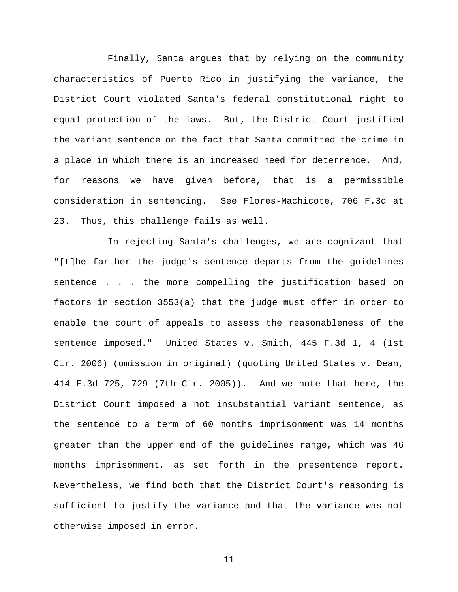Finally, Santa argues that by relying on the community characteristics of Puerto Rico in justifying the variance, the District Court violated Santa's federal constitutional right to equal protection of the laws. But, the District Court justified the variant sentence on the fact that Santa committed the crime in a place in which there is an increased need for deterrence. And, for reasons we have given before, that is a permissible consideration in sentencing. See Flores-Machicote, 706 F.3d at 23. Thus, this challenge fails as well.

In rejecting Santa's challenges, we are cognizant that "[t]he farther the judge's sentence departs from the guidelines sentence . . . the more compelling the justification based on factors in section 3553(a) that the judge must offer in order to enable the court of appeals to assess the reasonableness of the sentence imposed." United States v. Smith, 445 F.3d 1, 4 (1st Cir. 2006) (omission in original) (quoting United States v. Dean, 414 F.3d 725, 729 (7th Cir. 2005)). And we note that here, the District Court imposed a not insubstantial variant sentence, as the sentence to a term of 60 months imprisonment was 14 months greater than the upper end of the guidelines range, which was 46 months imprisonment, as set forth in the presentence report. Nevertheless, we find both that the District Court's reasoning is sufficient to justify the variance and that the variance was not otherwise imposed in error.

- 11 -